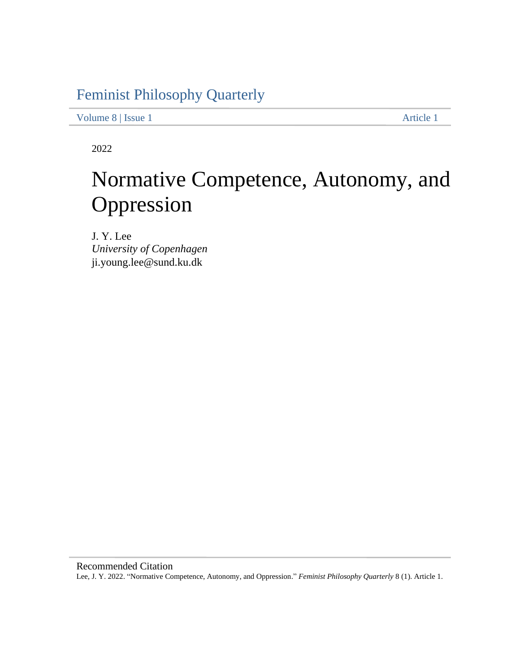## Feminist Philosophy Quarterly

Volume 8 | Issue 1 Article 1

2022

# Normative Competence, Autonomy, and Oppression

J. Y. Lee *University of Copenhagen*  ji.young.lee@sund.ku.dk

 Lee, J. Y. 2022. "Normative Competence, Autonomy, and Oppression." *Feminist Philosophy Quarterly* 8 (1). Article 1. Recommended Citation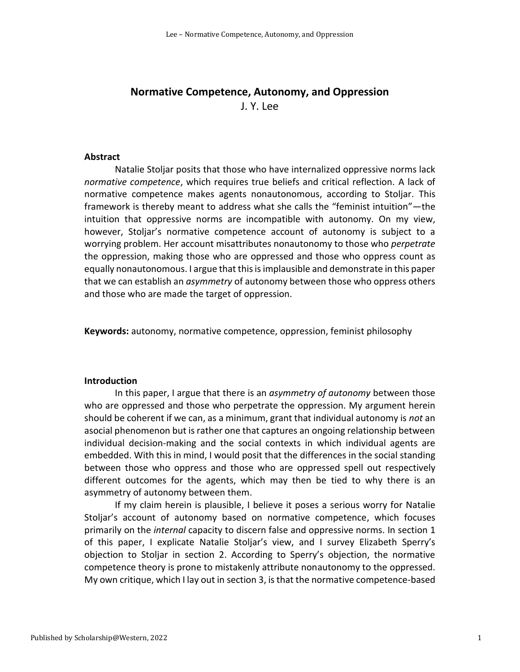### **Normative Competence, Autonomy, and Oppression**  J. Y. Lee

#### **Abstract**

 Natalie Stoljar posits that those who have internalized oppressive norms lack *normative competence*, which requires true beliefs and critical reflection. A lack of normative competence makes agents nonautonomous, according to Stoljar. This intuition that oppressive norms are incompatible with autonomy. On my view, however, Stoljar's normative competence account of autonomy is subject to a worrying problem. Her account misattributes nonautonomy to those who *perpetrate*  the oppression, making those who are oppressed and those who oppress count as equally nonautonomous. I argue that this is implausible and demonstrate in this paper that we can establish an *asymmetry* of autonomy between those who oppress others and those who are made the target of oppression. framework is thereby meant to address what she calls the "feminist intuition"—the

**Keywords:** autonomy, normative competence, oppression, feminist philosophy

#### **Introduction**

 In this paper, I argue that there is an *asymmetry of autonomy* between those who are oppressed and those who perpetrate the oppression. My argument herein should be coherent if we can, as a minimum, grant that individual autonomy is *not* an asocial phenomenon but is rather one that captures an ongoing relationship between embedded. With this in mind, I would posit that the differences in the social standing between those who oppress and those who are oppressed spell out respectively different outcomes for the agents, which may then be tied to why there is an asymmetry of autonomy between them. individual decision-making and the social contexts in which individual agents are

 If my claim herein is plausible, I believe it poses a serious worry for Natalie Stoljar's account of autonomy based on normative competence, which focuses primarily on the *internal* capacity to discern false and oppressive norms. In section 1 of this paper, I explicate Natalie Stoljar's view, and I survey Elizabeth Sperry's objection to Stoljar in section 2. According to Sperry's objection, the normative competence theory is prone to mistakenly attribute nonautonomy to the oppressed. My own critique, which I lay out in section 3, is that the normative competence-based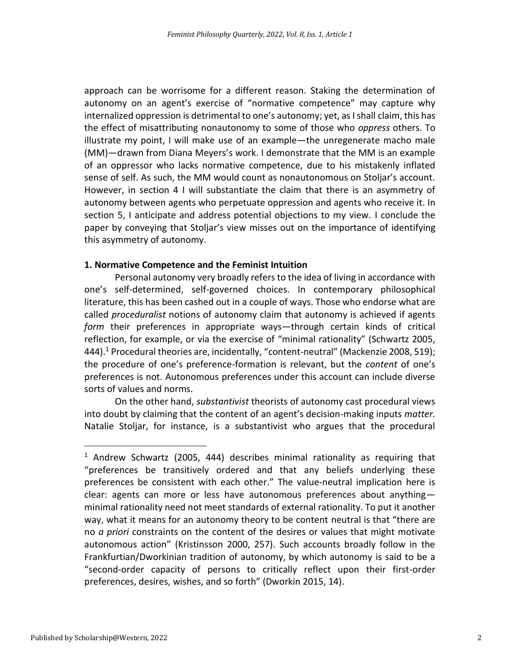approach can be worrisome for a different reason. Staking the determination of autonomy on an agent's exercise of "normative competence" may capture why internalized oppression is detrimental to one's autonomy; yet, as I shall claim, this has the effect of misattributing nonautonomy to some of those who *oppress* others. To illustrate my point, I will make use of an example—the unregenerate macho male (MM)—drawn from Diana Meyers's work. I demonstrate that the MM is an example of an oppressor who lacks normative competence, due to his mistakenly inflated sense of self. As such, the MM would count as nonautonomous on Stoljar's account. However, in section 4 I will substantiate the claim that there is an asymmetry of autonomy between agents who perpetuate oppression and agents who receive it. In section 5, I anticipate and address potential objections to my view. I conclude the paper by conveying that Stoljar's view misses out on the importance of identifying this asymmetry of autonomy.

#### **1. Normative Competence and the Feminist Intuition**

 literature, this has been cashed out in a couple of ways. Those who endorse what are called *proceduralist* notions of autonomy claim that autonomy is achieved if agents *form* their preferences in appropriate ways—through certain kinds of critical reflection, for example, or via the exercise of "minimal rationality" (Schwartz 2005, 444).<sup>1</sup> Procedural theories are, incidentally, "content-neutral" (Mackenzie 2008, 519); the procedure of one's preference-formation is relevant, but the *content* of one's preferences is not. Autonomous preferences under this account can include diverse sorts of values and norms. Personal autonomy very broadly refers to the idea of living in accordance with one's self-determined, self-governed choices. In contemporary philosophical

 On the other hand, *substantivist* theorists of autonomy cast procedural views into doubt by claiming that the content of an agent's decision-making inputs *matter.*  Natalie Stoljar, for instance, is a substantivist who argues that the procedural

 $1$  Andrew Schwartz (2005, 444) describes minimal rationality as requiring that "preferences be transitively ordered and that any beliefs underlying these preferences be consistent with each other." The value-neutral implication here is clear: agents can more or less have autonomous preferences about anything— minimal rationality need not meet standards of external rationality. To put it another way, what it means for an autonomy theory to be content neutral is that "there are no *a priori* constraints on the content of the desires or values that might motivate autonomous action" (Kristinsson 2000, 257). Such accounts broadly follow in the Frankfurtian/Dworkinian tradition of autonomy, by which autonomy is said to be a "second-order capacity of persons to critically reflect upon their first-order preferences, desires, wishes, and so forth" (Dworkin 2015, 14).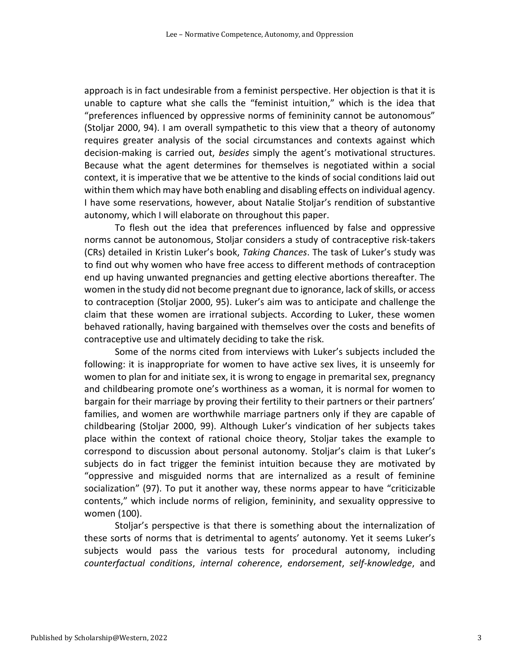approach is in fact undesirable from a feminist perspective. Her objection is that it is unable to capture what she calls the "feminist intuition," which is the idea that "preferences influenced by oppressive norms of femininity cannot be autonomous" (Stoljar 2000, 94). I am overall sympathetic to this view that a theory of autonomy requires greater analysis of the social circumstances and contexts against which decision-making is carried out, *besides* simply the agent's motivational structures. Because what the agent determines for themselves is negotiated within a social context, it is imperative that we be attentive to the kinds of social conditions laid out within them which may have both enabling and disabling effects on individual agency. I have some reservations, however, about Natalie Stoljar's rendition of substantive autonomy, which I will elaborate on throughout this paper.

 To flesh out the idea that preferences influenced by false and oppressive norms cannot be autonomous, Stoljar considers a study of contraceptive risk-takers (CRs) detailed in Kristin Luker's book, *Taking Chances*. The task of Luker's study was to find out why women who have free access to different methods of contraception end up having unwanted pregnancies and getting elective abortions thereafter. The women in the study did not become pregnant due to ignorance, lack of skills, or access to contraception (Stoljar 2000, 95). Luker's aim was to anticipate and challenge the claim that these women are irrational subjects. According to Luker, these women behaved rationally, having bargained with themselves over the costs and benefits of contraceptive use and ultimately deciding to take the risk.

 Some of the norms cited from interviews with Luker's subjects included the following: it is inappropriate for women to have active sex lives, it is unseemly for women to plan for and initiate sex, it is wrong to engage in premarital sex, pregnancy and childbearing promote one's worthiness as a woman, it is normal for women to bargain for their marriage by proving their fertility to their partners or their partners' families, and women are worthwhile marriage partners only if they are capable of childbearing (Stoljar 2000, 99). Although Luker's vindication of her subjects takes place within the context of rational choice theory, Stoljar takes the example to correspond to discussion about personal autonomy. Stoljar's claim is that Luker's subjects do in fact trigger the feminist intuition because they are motivated by "oppressive and misguided norms that are internalized as a result of feminine socialization" (97). To put it another way, these norms appear to have "criticizable contents," which include norms of religion, femininity, and sexuality oppressive to women (100).

 Stoljar's perspective is that there is something about the internalization of these sorts of norms that is detrimental to agents' autonomy. Yet it seems Luker's subjects would pass the various tests for procedural autonomy, including *counterfactual conditions*, *internal coherence*, *endorsement*, *self-knowledge*, and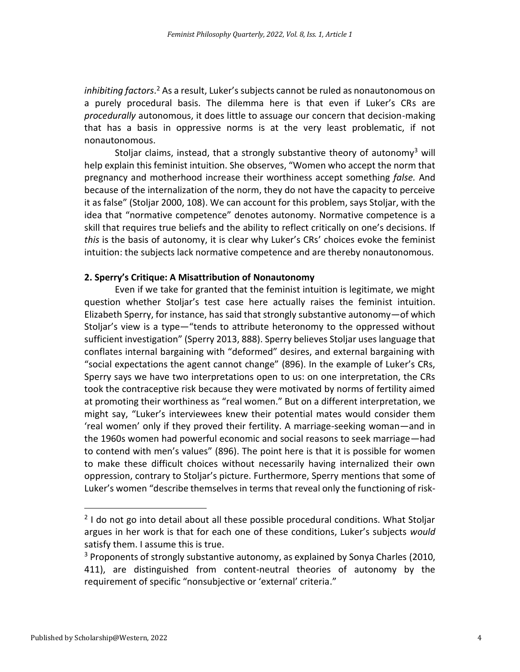*inhibiting factors*.<sup>2</sup> As a result, Luker's subjects cannot be ruled as nonautonomous on a purely procedural basis. The dilemma here is that even if Luker's CRs are *procedurally* autonomous, it does little to assuage our concern that decision-making that has a basis in oppressive norms is at the very least problematic, if not nonautonomous.

Stoljar claims, instead, that a strongly substantive theory of autonomy<sup>3</sup> will help explain this feminist intuition. She observes, "Women who accept the norm that pregnancy and motherhood increase their worthiness accept something *false.* And because of the internalization of the norm, they do not have the capacity to perceive it as false" (Stoljar 2000, 108). We can account for this problem, says Stoljar, with the idea that "normative competence" denotes autonomy. Normative competence is a skill that requires true beliefs and the ability to reflect critically on one's decisions. If *this* is the basis of autonomy, it is clear why Luker's CRs' choices evoke the feminist intuition: the subjects lack normative competence and are thereby nonautonomous.

#### **2. Sperry's Critique: A Misattribution of Nonautonomy**

 Even if we take for granted that the feminist intuition is legitimate, we might question whether Stoljar's test case here actually raises the feminist intuition. Elizabeth Sperry, for instance, has said that strongly substantive autonomy—of which Stoljar's view is a type—"tends to attribute heteronomy to the oppressed without sufficient investigation" (Sperry 2013, 888). Sperry believes Stoljar uses language that "social expectations the agent cannot change" (896). In the example of Luker's CRs, Sperry says we have two interpretations open to us: on one interpretation, the CRs took the contraceptive risk because they were motivated by norms of fertility aimed at promoting their worthiness as "real women." But on a different interpretation, we might say, "Luker's interviewees knew their potential mates would consider them 'real women' only if they proved their fertility. A marriage-seeking woman—and in the 1960s women had powerful economic and social reasons to seek marriage—had to contend with men's values" (896). The point here is that it is possible for women to make these difficult choices without necessarily having internalized their own oppression, contrary to Stoljar's picture. Furthermore, Sperry mentions that some of Luker's women "describe themselves in terms that reveal only the functioning of riskconflates internal bargaining with "deformed" desires, and external bargaining with

 $2$  I do not go into detail about all these possible procedural conditions. What Stoljar argues in her work is that for each one of these conditions, Luker's subjects *would*  satisfy them. I assume this is true.

 $3$  Proponents of strongly substantive autonomy, as explained by Sonya Charles (2010, requirement of specific "nonsubjective or 'external' criteria." 411), are distinguished from content-neutral theories of autonomy by the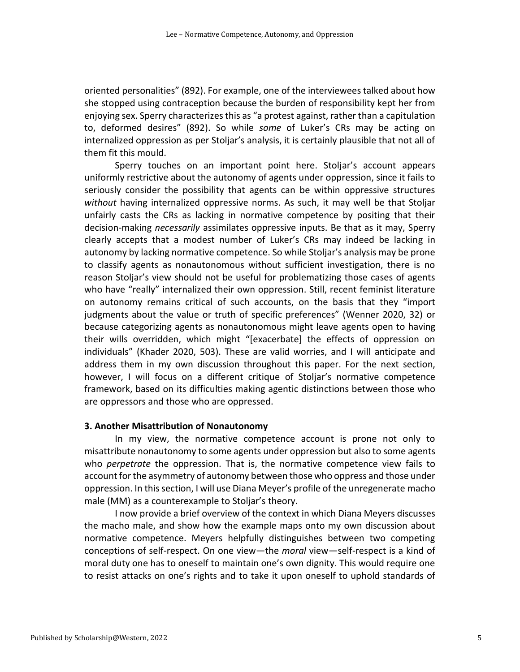oriented personalities" (892). For example, one of the interviewees talked about how she stopped using contraception because the burden of responsibility kept her from enjoying sex. Sperry characterizes this as "a protest against, rather than a capitulation to, deformed desires" (892). So while *some* of Luker's CRs may be acting on internalized oppression as per Stoljar's analysis, it is certainly plausible that not all of them fit this mould.

 Sperry touches on an important point here. Stoljar's account appears uniformly restrictive about the autonomy of agents under oppression, since it fails to seriously consider the possibility that agents can be within oppressive structures *without* having internalized oppressive norms. As such, it may well be that Stoljar unfairly casts the CRs as lacking in normative competence by positing that their decision-making *necessarily* assimilates oppressive inputs. Be that as it may, Sperry clearly accepts that a modest number of Luker's CRs may indeed be lacking in to classify agents as nonautonomous without sufficient investigation, there is no reason Stoljar's view should not be useful for problematizing those cases of agents who have "really" internalized their own oppression. Still, recent feminist literature on autonomy remains critical of such accounts, on the basis that they "import judgments about the value or truth of specific preferences" (Wenner 2020, 32) or because categorizing agents as nonautonomous might leave agents open to having their wills overridden, which might "[exacerbate] the effects of oppression on individuals" (Khader 2020, 503). These are valid worries, and I will anticipate and address them in my own discussion throughout this paper. For the next section, however, I will focus on a different critique of Stoljar's normative competence framework, based on its difficulties making agentic distinctions between those who autonomy by lacking normative competence. So while Stoljar's analysis may be prone are oppressors and those who are oppressed.

#### **3. Another Misattribution of Nonautonomy**

 In my view, the normative competence account is prone not only to who *perpetrate* the oppression. That is, the normative competence view fails to account for the asymmetry of autonomy between those who oppress and those under misattribute nonautonomy to some agents under oppression but also to some agents oppression. In this section, I will use Diana Meyer's profile of the unregenerate macho male (MM) as a counterexample to Stoljar's theory.

 I now provide a brief overview of the context in which Diana Meyers discusses the macho male, and show how the example maps onto my own discussion about normative competence. Meyers helpfully distinguishes between two competing conceptions of self-respect. On one view—the *moral* view—self-respect is a kind of moral duty one has to oneself to maintain one's own dignity. This would require one to resist attacks on one's rights and to take it upon oneself to uphold standards of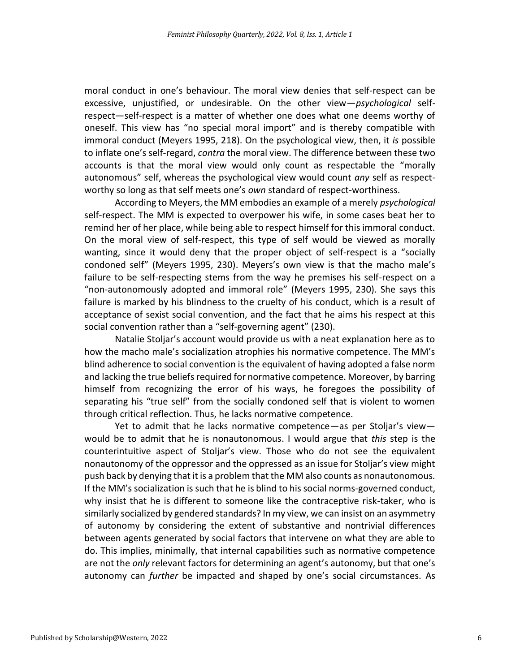moral conduct in one's behaviour. The moral view denies that self-respect can be excessive, unjustified, or undesirable. On the other view—*psychological* self- respect—self-respect is a matter of whether one does what one deems worthy of oneself. This view has "no special moral import" and is thereby compatible with immoral conduct (Meyers 1995, 218). On the psychological view, then, it *is* possible to inflate one's self-regard, *contra* the moral view. The difference between these two accounts is that the moral view would only count as respectable the "morally autonomous" self, whereas the psychological view would count *any* self as respect-worthy so long as that self meets one's *own* standard of respect-worthiness.

 According to Meyers, the MM embodies an example of a merely *psychological*  self-respect. The MM is expected to overpower his wife, in some cases beat her to remind her of her place, while being able to respect himself for this immoral conduct. On the moral view of self-respect, this type of self would be viewed as morally wanting, since it would deny that the proper object of self-respect is a "socially condoned self" (Meyers 1995, 230). Meyers's own view is that the macho male's failure to be self-respecting stems from the way he premises his self-respect on a "non-autonomously adopted and immoral role" (Meyers 1995, 230). She says this failure is marked by his blindness to the cruelty of his conduct, which is a result of acceptance of sexist social convention, and the fact that he aims his respect at this social convention rather than a "self-governing agent" (230).

 Natalie Stoljar's account would provide us with a neat explanation here as to how the macho male's socialization atrophies his normative competence. The MM's blind adherence to social convention is the equivalent of having adopted a false norm and lacking the true beliefs required for normative competence. Moreover, by barring himself from recognizing the error of his ways, he foregoes the possibility of separating his "true self" from the socially condoned self that is violent to women through critical reflection. Thus, he lacks normative competence.

 Yet to admit that he lacks normative competence—as per Stoljar's view— would be to admit that he is nonautonomous. I would argue that *this* step is the counterintuitive aspect of Stoljar's view. Those who do not see the equivalent nonautonomy of the oppressor and the oppressed as an issue for Stoljar's view might push back by denying that it is a problem that the MM also counts as nonautonomous. If the MM's socialization is such that he is blind to his social norms-governed conduct, why insist that he is different to someone like the contraceptive risk-taker, who is similarly socialized by gendered standards? In my view, we can insist on an asymmetry of autonomy by considering the extent of substantive and nontrivial differences between agents generated by social factors that intervene on what they are able to do. This implies, minimally, that internal capabilities such as normative competence are not the *only* relevant factors for determining an agent's autonomy, but that one's autonomy can *further* be impacted and shaped by one's social circumstances. As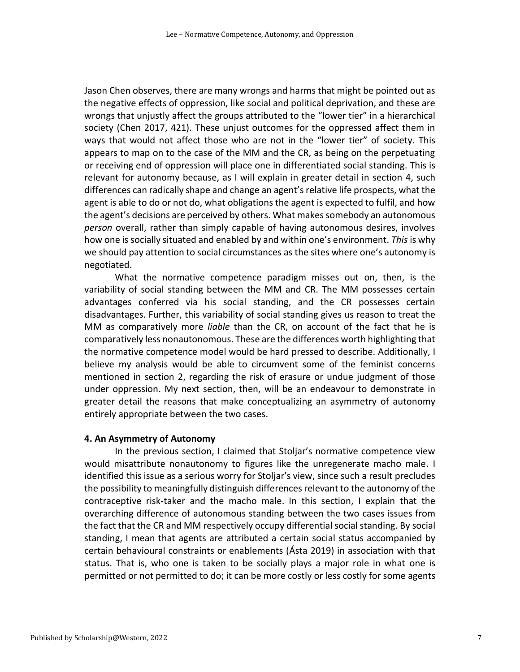Jason Chen observes, there are many wrongs and harms that might be pointed out as the negative effects of oppression, like social and political deprivation, and these are wrongs that unjustly affect the groups attributed to the "lower tier" in a hierarchical society (Chen 2017, 421). These unjust outcomes for the oppressed affect them in ways that would not affect those who are not in the "lower tier" of society. This appears to map on to the case of the MM and the CR, as being on the perpetuating or receiving end of oppression will place one in differentiated social standing. This is relevant for autonomy because, as I will explain in greater detail in section 4, such differences can radically shape and change an agent'srelative life prospects, what the agent is able to do or not do, what obligations the agent is expected to fulfil, and how the agent's decisions are perceived by others. What makes somebody an autonomous *person* overall, rather than simply capable of having autonomous desires, involves how one is socially situated and enabled by and within one's environment. *This* is why we should pay attention to social circumstances as the sites where one's autonomy is negotiated.

 variability of social standing between the MM and CR. The MM possesses certain advantages conferred via his social standing, and the CR possesses certain MM as comparatively more *liable* than the CR, on account of the fact that he is comparatively less nonautonomous. These are the differences worth highlighting that the normative competence model would be hard pressed to describe. Additionally, I believe my analysis would be able to circumvent some of the feminist concerns mentioned in section 2, regarding the risk of erasure or undue judgment of those greater detail the reasons that make conceptualizing an asymmetry of autonomy What the normative competence paradigm misses out on, then, is the disadvantages. Further, this variability of social standing gives us reason to treat the under oppression. My next section, then, will be an endeavour to demonstrate in entirely appropriate between the two cases.

#### **4. An Asymmetry of Autonomy**

 In the previous section, I claimed that Stoljar's normative competence view would misattribute nonautonomy to figures like the unregenerate macho male. I identified this issue as a serious worry for Stoljar's view, since such a result precludes the possibility to meaningfully distinguish differences relevant to the autonomy of the contraceptive risk-taker and the macho male. In this section, I explain that the the fact that the CR and MM respectively occupy differential social standing. By social standing, I mean that agents are attributed a certain social status accompanied by certain behavioural constraints or enablements (Ásta 2019) in association with that status. That is, who one is taken to be socially plays a major role in what one is permitted or not permitted to do; it can be more costly or less costly for some agents overarching difference of autonomous standing between the two cases issues from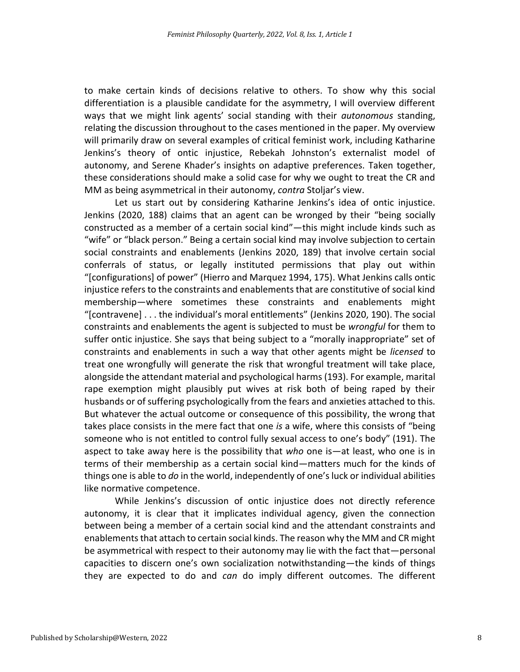to make certain kinds of decisions relative to others. To show why this social differentiation is a plausible candidate for the asymmetry, I will overview different ways that we might link agents' social standing with their *autonomous* standing, relating the discussion throughout to the cases mentioned in the paper. My overview will primarily draw on several examples of critical feminist work, including Katharine Jenkins's theory of ontic injustice, Rebekah Johnston's externalist model of autonomy, and Serene Khader's insights on adaptive preferences. Taken together, these considerations should make a solid case for why we ought to treat the CR and MM as being asymmetrical in their autonomy, *contra* Stoljar's view.

 Let us start out by considering Katharine Jenkins's idea of ontic injustice. Jenkins (2020, 188) claims that an agent can be wronged by their "being socially constructed as a member of a certain social kind"—this might include kinds such as "wife" or "black person." Being a certain social kind may involve subjection to certain social constraints and enablements (Jenkins 2020, 189) that involve certain social conferrals of status, or legally instituted permissions that play out within "[configurations] of power" (Hierro and Marquez 1994, 175). What Jenkins calls ontic injustice refers to the constraints and enablements that are constitutive of social kind constraints and enablements the agent is subjected to must be *wrongful* for them to suffer ontic injustice. She says that being subject to a "morally inappropriate" set of constraints and enablements in such a way that other agents might be *licensed* to treat one wrongfully will generate the risk that wrongful treatment will take place, alongside the attendant material and psychological harms (193). For example, marital rape exemption might plausibly put wives at risk both of being raped by their husbands or of suffering psychologically from the fears and anxieties attached to this. takes place consists in the mere fact that one *is* a wife, where this consists of "being someone who is not entitled to control fully sexual access to one's body" (191). The terms of their membership as a certain social kind—matters much for the kinds of things one is able to *do* in the world, independently of one's luck or individual abilities membership—where sometimes these constraints and enablements might "[contravene] . . . the individual's moral entitlements" (Jenkins 2020, 190). The social But whatever the actual outcome or consequence of this possibility, the wrong that aspect to take away here is the possibility that *who* one is—at least, who one is in like normative competence.

 While Jenkins's discussion of ontic injustice does not directly reference autonomy, it is clear that it implicates individual agency, given the connection between being a member of a certain social kind and the attendant constraints and enablements that attach to certain social kinds. The reason why the MM and CR might be asymmetrical with respect to their autonomy may lie with the fact that—personal capacities to discern one's own socialization notwithstanding—the kinds of things they are expected to do and *can* do imply different outcomes. The different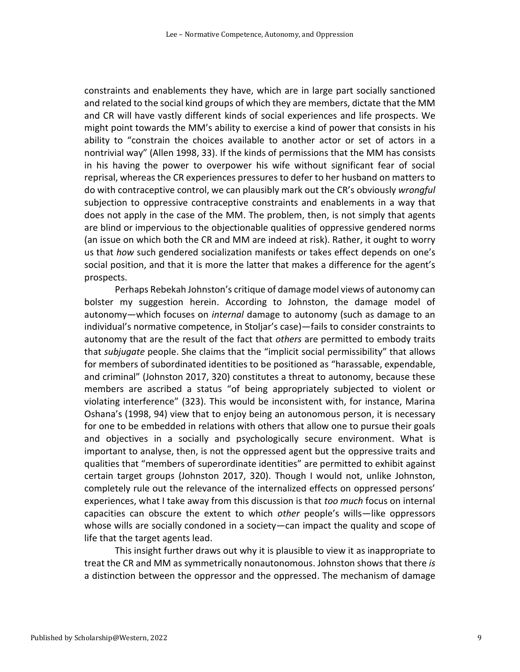constraints and enablements they have, which are in large part socially sanctioned and related to the social kind groups of which they are members, dictate that the MM and CR will have vastly different kinds of social experiences and life prospects. We might point towards the MM's ability to exercise a kind of power that consists in his ability to "constrain the choices available to another actor or set of actors in a nontrivial way" (Allen 1998, 33). If the kinds of permissions that the MM has consists in his having the power to overpower his wife without significant fear of social reprisal, whereas the CR experiences pressures to defer to her husband on matters to do with contraceptive control, we can plausibly mark out the CR's obviously *wrongful*  subjection to oppressive contraceptive constraints and enablements in a way that does not apply in the case of the MM. The problem, then, is not simply that agents are blind or impervious to the objectionable qualities of oppressive gendered norms (an issue on which both the CR and MM are indeed at risk). Rather, it ought to worry us that *how* such gendered socialization manifests or takes effect depends on one's social position, and that it is more the latter that makes a difference for the agent's prospects.

 Perhaps Rebekah Johnston's critique of damage model views of autonomy can bolster my suggestion herein. According to Johnston, the damage model of autonomy—which focuses on *internal* damage to autonomy (such as damage to an individual's normative competence, in Stoljar's case)—fails to consider constraints to autonomy that are the result of the fact that *others* are permitted to embody traits that *subjugate* people. She claims that the "implicit social permissibility" that allows for members of subordinated identities to be positioned as "harassable, expendable, and criminal" (Johnston 2017, 320) constitutes a threat to autonomy, because these members are ascribed a status "of being appropriately subjected to violent or violating interference" (323). This would be inconsistent with, for instance, Marina Oshana's (1998, 94) view that to enjoy being an autonomous person, it is necessary for one to be embedded in relations with others that allow one to pursue their goals important to analyse, then, is not the oppressed agent but the oppressive traits and qualities that "members of superordinate identities" are permitted to exhibit against certain target groups (Johnston 2017, 320). Though I would not, unlike Johnston, completely rule out the relevance of the internalized effects on oppressed persons' experiences, what I take away from this discussion is that *too much* focus on internal capacities can obscure the extent to which *other* people's wills—like oppressors whose wills are socially condoned in a society—can impact the quality and scope of and objectives in a socially and psychologically secure environment. What is life that the target agents lead.

 This insight further draws out why it is plausible to view it as inappropriate to treat the CR and MM as symmetrically nonautonomous. Johnston shows that there *is*  a distinction between the oppressor and the oppressed. The mechanism of damage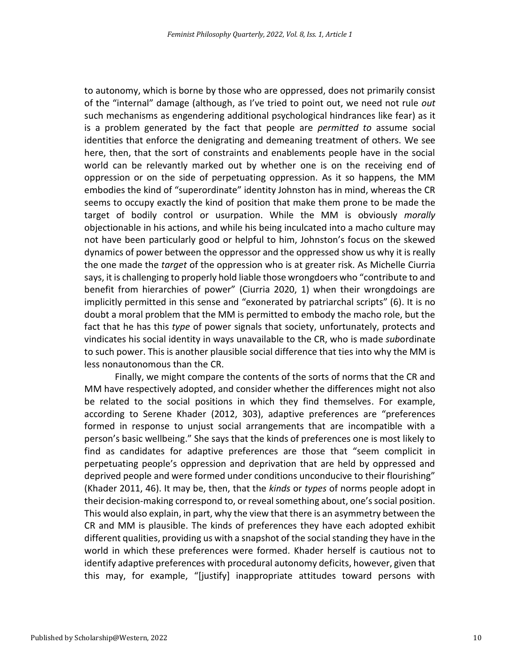of the "internal" damage (although, as I've tried to point out, we need not rule *out*  such mechanisms as engendering additional psychological hindrances like fear) as it is a problem generated by the fact that people are *permitted to* assume social identities that enforce the denigrating and demeaning treatment of others. We see here, then, that the sort of constraints and enablements people have in the social world can be relevantly marked out by whether one is on the receiving end of oppression or on the side of perpetuating oppression. As it so happens, the MM embodies the kind of "superordinate" identity Johnston has in mind, whereas the CR seems to occupy exactly the kind of position that make them prone to be made the objectionable in his actions, and while his being inculcated into a macho culture may not have been particularly good or helpful to him, Johnston's focus on the skewed dynamics of power between the oppressor and the oppressed show us why it is really the one made the *target* of the oppression who is at greater risk. As Michelle Ciurria says, it is challenging to properly hold liable those wrongdoers who "contribute to and benefit from hierarchies of power" (Ciurria 2020, 1) when their wrongdoings are implicitly permitted in this sense and "exonerated by patriarchal scripts" (6). It is no doubt a moral problem that the MM is permitted to embody the macho role, but the fact that he has this *type* of power signals that society, unfortunately, protects and vindicates his social identity in ways unavailable to the CR, who is made *sub*ordinate less nonautonomous than the CR. to autonomy, which is borne by those who are oppressed, does not primarily consist target of bodily control or usurpation. While the MM is obviously *morally*  to such power. This is another plausible social difference that ties into why the MM is

 Finally, we might compare the contents of the sorts of norms that the CR and MM have respectively adopted, and consider whether the differences might not also be related to the social positions in which they find themselves. For example, according to Serene Khader (2012, 303), adaptive preferences are "preferences formed in response to unjust social arrangements that are incompatible with a person's basic wellbeing." She says that the kinds of preferences one is most likely to find as candidates for adaptive preferences are those that "seem complicit in perpetuating people's oppression and deprivation that are held by oppressed and deprived people and were formed under conditions unconducive to their flourishing" This would also explain, in part, why the view that there is an asymmetry between the CR and MM is plausible. The kinds of preferences they have each adopted exhibit different qualities, providing us with a snapshot of the social standing they have in the world in which these preferences were formed. Khader herself is cautious not to identify adaptive preferences with procedural autonomy deficits, however, given that this may, for example, "[justify] inappropriate attitudes toward persons with (Khader 2011, 46). It may be, then, that the *kinds* or *types* of norms people adopt in their decision-making correspond to, or reveal something about, one's social position.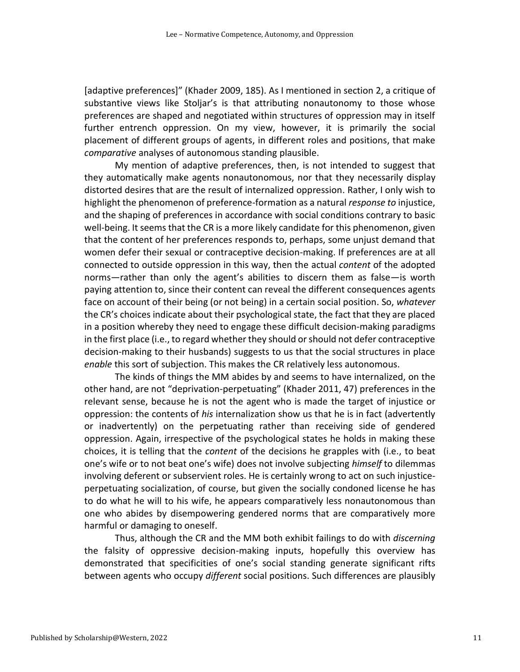[adaptive preferences]" (Khader 2009, 185). As I mentioned in section 2, a critique of substantive views like Stoljar's is that attributing nonautonomy to those whose preferences are shaped and negotiated within structures of oppression may in itself placement of different groups of agents, in different roles and positions, that make further entrench oppression. On my view, however, it is primarily the social *comparative* analyses of autonomous standing plausible.

 My mention of adaptive preferences, then, is not intended to suggest that they automatically make agents nonautonomous, nor that they necessarily display distorted desires that are the result of internalized oppression. Rather, I only wish to highlight the phenomenon of preference-formation as a natural *response to* injustice, well-being. It seems that the CR is a more likely candidate for this phenomenon, given that the content of her preferences responds to, perhaps, some unjust demand that women defer their sexual or contraceptive decision-making. If preferences are at all connected to outside oppression in this way, then the actual *content* of the adopted norms—rather than only the agent's abilities to discern them as false—is worth paying attention to, since their content can reveal the different consequences agents face on account of their being (or not being) in a certain social position. So, *whatever*  the CR's choices indicate about their psychological state, the fact that they are placed in a position whereby they need to engage these difficult decision-making paradigms in the first place (i.e., to regard whether they should or should not defer contraceptive decision-making to their husbands) suggests to us that the social structures in place *enable* this sort of subjection. This makes the CR relatively less autonomous. and the shaping of preferences in accordance with social conditions contrary to basic

 The kinds of things the MM abides by and seems to have internalized, on the other hand, are not "deprivation-perpetuating" (Khader 2011, 47) preferences in the relevant sense, because he is not the agent who is made the target of injustice or oppression: the contents of *his* internalization show us that he is in fact (advertently one's wife or to not beat one's wife) does not involve subjecting *himself* to dilemmas involving deferent or subservient roles. He is certainly wrong to act on such injustice- perpetuating socialization, of course, but given the socially condoned license he has or inadvertently) on the perpetuating rather than receiving side of gendered oppression. Again, irrespective of the psychological states he holds in making these choices, it is telling that the *content* of the decisions he grapples with (i.e., to beat to do what he will to his wife, he appears comparatively less nonautonomous than one who abides by disempowering gendered norms that are comparatively more harmful or damaging to oneself.

 Thus, although the CR and the MM both exhibit failings to do with *discerning*  demonstrated that specificities of one's social standing generate significant rifts the falsity of oppressive decision-making inputs, hopefully this overview has between agents who occupy *different* social positions. Such differences are plausibly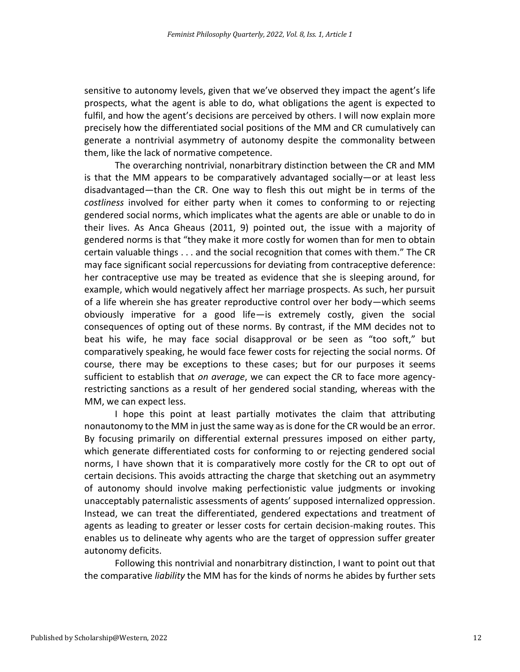prospects, what the agent is able to do, what obligations the agent is expected to fulfil, and how the agent's decisions are perceived by others. I will now explain more precisely how the differentiated social positions of the MM and CR cumulatively can sensitive to autonomy levels, given that we've observed they impact the agent's life generate a nontrivial asymmetry of autonomy despite the commonality between them, like the lack of normative competence.

 The overarching nontrivial, nonarbitrary distinction between the CR and MM is that the MM appears to be comparatively advantaged socially—or at least less disadvantaged—than the CR. One way to flesh this out might be in terms of the *costliness* involved for either party when it comes to conforming to or rejecting gendered social norms, which implicates what the agents are able or unable to do in their lives. As Anca Gheaus (2011, 9) pointed out, the issue with a majority of gendered norms is that "they make it more costly for women than for men to obtain certain valuable things . . . and the social recognition that comes with them." The CR her contraceptive use may be treated as evidence that she is sleeping around, for example, which would negatively affect her marriage prospects. As such, her pursuit of a life wherein she has greater reproductive control over her body—which seems obviously imperative for a good life—is extremely costly, given the social beat his wife, he may face social disapproval or be seen as "too soft," but course, there may be exceptions to these cases; but for our purposes it seems sufficient to establish that *on average*, we can expect the CR to face more agency- restricting sanctions as a result of her gendered social standing, whereas with the MM, we can expect less. may face significant social repercussions for deviating from contraceptive deference: consequences of opting out of these norms. By contrast, if the MM decides not to comparatively speaking, he would face fewer costs for rejecting the social norms. Of

 I hope this point at least partially motivates the claim that attributing nonautonomy to the MM in just the same way as is done for the CR would be an error. By focusing primarily on differential external pressures imposed on either party, which generate differentiated costs for conforming to or rejecting gendered social norms, I have shown that it is comparatively more costly for the CR to opt out of of autonomy should involve making perfectionistic value judgments or invoking unacceptably paternalistic assessments of agents' supposed internalized oppression. Instead, we can treat the differentiated, gendered expectations and treatment of agents as leading to greater or lesser costs for certain decision-making routes. This enables us to delineate why agents who are the target of oppression suffer greater certain decisions. This avoids attracting the charge that sketching out an asymmetry autonomy deficits.

 Following this nontrivial and nonarbitrary distinction, I want to point out that the comparative *liability* the MM has for the kinds of norms he abides by further sets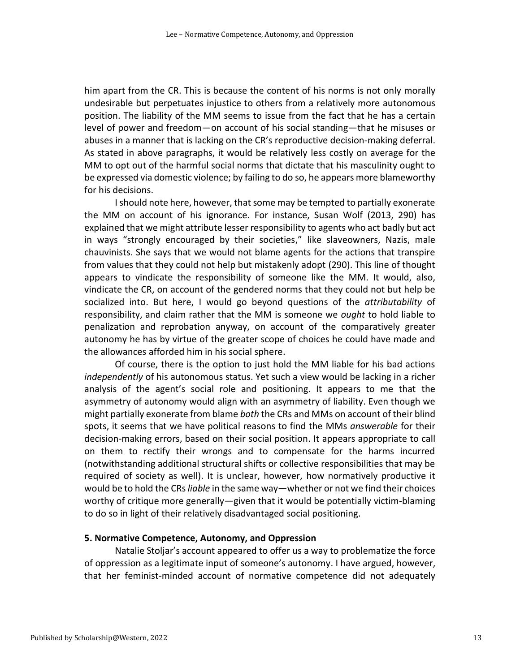him apart from the CR. This is because the content of his norms is not only morally position. The liability of the MM seems to issue from the fact that he has a certain abuses in a manner that is lacking on the CR's reproductive decision-making deferral. As stated in above paragraphs, it would be relatively less costly on average for the MM to opt out of the harmful social norms that dictate that his masculinity ought to be expressed via domestic violence; by failing to do so, he appears more blameworthy undesirable but perpetuates injustice to others from a relatively more autonomous level of power and freedom—on account of his social standing—that he misuses or for his decisions.

 I should note here, however, that some may be tempted to partially exonerate the MM on account of his ignorance. For instance, Susan Wolf (2013, 290) has explained that we might attribute lesser responsibility to agents who act badly but act in ways "strongly encouraged by their societies," like slaveowners, Nazis, male chauvinists. She says that we would not blame agents for the actions that transpire from values that they could not help but mistakenly adopt (290). This line of thought vindicate the CR, on account of the gendered norms that they could not but help be socialized into. But here, I would go beyond questions of the *attributability* of responsibility, and claim rather that the MM is someone we *ought* to hold liable to penalization and reprobation anyway, on account of the comparatively greater autonomy he has by virtue of the greater scope of choices he could have made and the allowances afforded him in his social sphere. appears to vindicate the responsibility of someone like the MM. It would, also,

 Of course, there is the option to just hold the MM liable for his bad actions *independently* of his autonomous status. Yet such a view would be lacking in a richer analysis of the agent's social role and positioning. It appears to me that the asymmetry of autonomy would align with an asymmetry of liability. Even though we might partially exonerate from blame *both* the CRs and MMs on account of their blind spots, it seems that we have political reasons to find the MMs *answerable* for their decision-making errors, based on their social position. It appears appropriate to call (notwithstanding additional structural shifts or collective responsibilities that may be required of society as well). It is unclear, however, how normatively productive it would be to hold the CRs *liable* in the same way—whether or not we find their choices worthy of critique more generally—given that it would be potentially victim-blaming to do so in light of their relatively disadvantaged social positioning. on them to rectify their wrongs and to compensate for the harms incurred

#### **5. Normative Competence, Autonomy, and Oppression**

 Natalie Stoljar's account appeared to offer us a way to problematize the force of oppression as a legitimate input of someone's autonomy. I have argued, however, that her feminist-minded account of normative competence did not adequately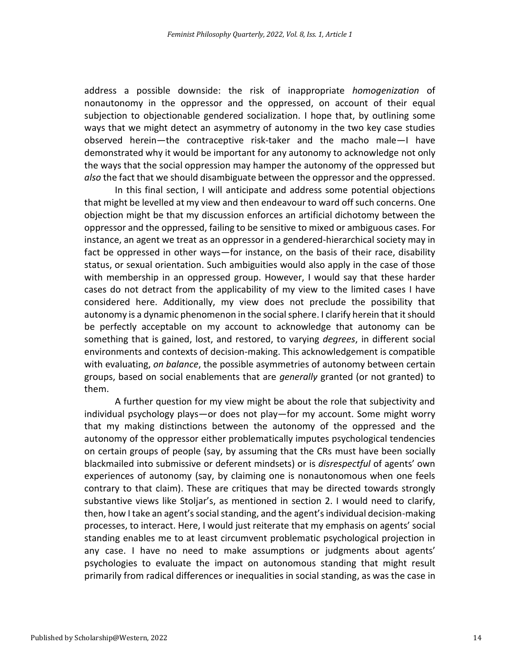address a possible downside: the risk of inappropriate *homogenization* of nonautonomy in the oppressor and the oppressed, on account of their equal subjection to objectionable gendered socialization. I hope that, by outlining some ways that we might detect an asymmetry of autonomy in the two key case studies observed herein—the contraceptive risk-taker and the macho male—I have demonstrated why it would be important for any autonomy to acknowledge not only the ways that the social oppression may hamper the autonomy of the oppressed but *also* the fact that we should disambiguate between the oppressor and the oppressed.

 In this final section, I will anticipate and address some potential objections that might be levelled at my view and then endeavour to ward off such concerns. One objection might be that my discussion enforces an artificial dichotomy between the oppressor and the oppressed, failing to be sensitive to mixed or ambiguous cases. For instance, an agent we treat as an oppressor in a gendered-hierarchical society may in fact be oppressed in other ways—for instance, on the basis of their race, disability status, or sexual orientation. Such ambiguities would also apply in the case of those with membership in an oppressed group. However, I would say that these harder cases do not detract from the applicability of my view to the limited cases I have autonomy is a dynamic phenomenon in the social sphere. I clarify herein that it should be perfectly acceptable on my account to acknowledge that autonomy can be something that is gained, lost, and restored, to varying *degrees*, in different social environments and contexts of decision-making. This acknowledgement is compatible with evaluating, *on balance*, the possible asymmetries of autonomy between certain groups, based on social enablements that are *generally* granted (or not granted) to considered here. Additionally, my view does not preclude the possibility that them.

 A further question for my view might be about the role that subjectivity and individual psychology plays—or does not play—for my account. Some might worry that my making distinctions between the autonomy of the oppressed and the on certain groups of people (say, by assuming that the CRs must have been socially blackmailed into submissive or deferent mindsets) or is *disrespectful* of agents' own experiences of autonomy (say, by claiming one is nonautonomous when one feels contrary to that claim). These are critiques that may be directed towards strongly substantive views like Stoljar's, as mentioned in section 2. I would need to clarify, then, how I take an agent's social standing, and the agent's individual decision-making processes, to interact. Here, I would just reiterate that my emphasis on agents' social standing enables me to at least circumvent problematic psychological projection in any case. I have no need to make assumptions or judgments about agents' psychologies to evaluate the impact on autonomous standing that might result autonomy of the oppressor either problematically imputes psychological tendencies primarily from radical differences or inequalities in social standing, as was the case in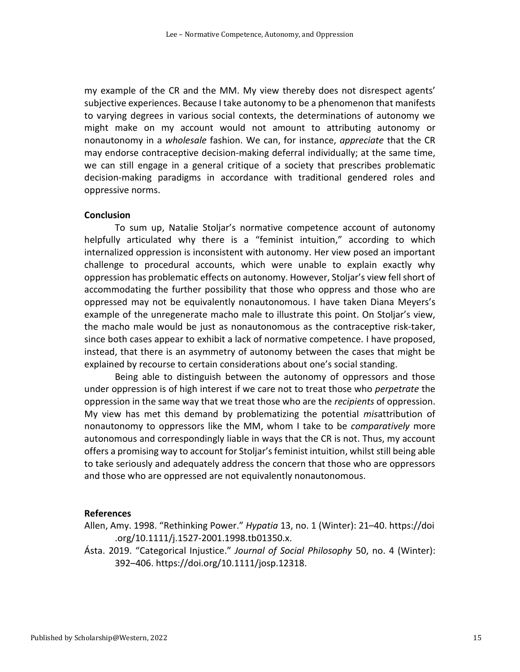my example of the CR and the MM. My view thereby does not disrespect agents' subjective experiences. Because I take autonomy to be a phenomenon that manifests to varying degrees in various social contexts, the determinations of autonomy we might make on my account would not amount to attributing autonomy or nonautonomy in a *wholesale* fashion. We can, for instance, *appreciate* that the CR may endorse contraceptive decision-making deferral individually; at the same time, we can still engage in a general critique of a society that prescribes problematic decision-making paradigms in accordance with traditional gendered roles and oppressive norms.

#### **Conclusion**

 To sum up, Natalie Stoljar's normative competence account of autonomy helpfully articulated why there is a "feminist intuition," according to which internalized oppression is inconsistent with autonomy. Her view posed an important challenge to procedural accounts, which were unable to explain exactly why oppression has problematic effects on autonomy. However, Stoljar's view fell short of accommodating the further possibility that those who oppress and those who are example of the unregenerate macho male to illustrate this point. On Stoljar's view, the macho male would be just as nonautonomous as the contraceptive risk-taker, since both cases appear to exhibit a lack of normative competence. I have proposed, instead, that there is an asymmetry of autonomy between the cases that might be explained by recourse to certain considerations about one's social standing. oppressed may not be equivalently nonautonomous. I have taken Diana Meyers's

 Being able to distinguish between the autonomy of oppressors and those under oppression is of high interest if we care not to treat those who *perpetrate* the oppression in the same way that we treat those who are the *recipients* of oppression. nonautonomy to oppressors like the MM, whom I take to be *comparatively* more autonomous and correspondingly liable in ways that the CR is not. Thus, my account offers a promising way to account for Stoljar'sfeminist intuition, whilst still being able to take seriously and adequately address the concern that those who are oppressors and those who are oppressed are not equivalently nonautonomous. My view has met this demand by problematizing the potential *mis*attribution of

#### **References**

Allen, Amy. 1998. "Rethinking Power." *Hypatia* 13, no. 1 (Winter): 21–40. https://doi .org/10.1111/j.1527-2001.1998.tb01350.x.

Ásta. 2019. "Categorical Injustice." *Journal of Social Philosophy* 50, no. 4 (Winter): 392–406. https://doi.org/10.1111/josp.12318.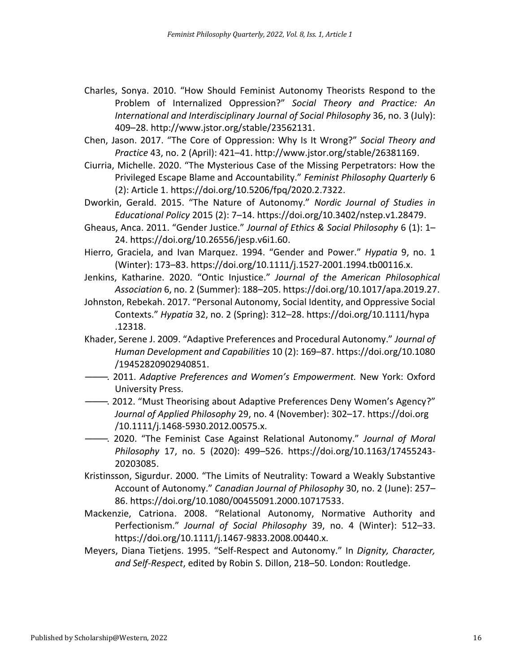- Charles, Sonya. 2010. "How Should Feminist Autonomy Theorists Respond to the  Problem of Internalized Oppression?" *Social Theory and Practice: An International and Interdisciplinary Journal of Social Philosophy* 36, no. 3 (July): 409–28. http://www.jstor.org/stable/23562131.
- Chen, Jason. 2017. "The Core of Oppression: Why Is It Wrong?" *Social Theory and Practice* 43, no. 2 (April): 421–41. http://www.jstor.org/stable/26381169.
- Ciurria, Michelle. 2020. "The Mysterious Case of the Missing Perpetrators: How the Privileged Escape Blame and Accountability." *Feminist Philosophy Quarterly* 6 (2): Article 1. https://doi.org/10.5206/fpq/2020.2.7322.
- Dworkin, Gerald. 2015. "The Nature of Autonomy." *Nordic Journal of Studies in Educational Policy* 2015 (2): 7–14. https://doi.org/10.3402/nstep.v1.28479.
- Gheaus, Anca. 2011. "Gender Justice." *Journal of Ethics & Social Philosophy* 6 (1): 1– 24. https://doi.org/10.26556/jesp.v6i1.60.
- Hierro, Graciela, and Ivan Marquez. 1994. "Gender and Power." *Hypatia* 9, no. 1 (Winter): 173–83. https://doi.org/10.1111/j.1527-2001.1994.tb00116.x.
- Jenkins, Katharine. 2020. "Ontic Injustice." *Journal of the American Philosophical Association* 6, no. 2 (Summer): 188–205. https://doi.org/10.1017/apa.2019.27.
- Johnston, Rebekah. 2017. "Personal Autonomy, Social Identity, and Oppressive Social Contexts." *Hypatia* 32, no. 2 (Spring): 312–28. https://doi.org/10.1111/hypa .12318.
- *Human Development and Capabilities* 10 (2): 169–87. https://doi.org/10.1080 Khader, Serene J. 2009. "Adaptive Preferences and Procedural Autonomy." *Journal of*  /19452820902940851.
- ———. 2011. *Adaptive Preferences and Women's Empowerment.* New York: Oxford University Press.
- ———. 2012. "Must Theorising about Adaptive Preferences Deny Women's Agency?" *Journal of Applied Philosophy* 29, no. 4 (November): 302–17. https://doi.org /10.1111/j.1468-5930.2012.00575.x.
- ———. 2020. "The Feminist Case Against Relational Autonomy." *Journal of Moral Philosophy* 17, no. 5 (2020): 499–526. https://doi.org/10.1163/17455243- 20203085.
- Kristinsson, Sigurdur. 2000. "The Limits of Neutrality: Toward a Weakly Substantive Account of Autonomy." *Canadian Journal of Philosophy* 30, no. 2 (June): 257– 86. https://doi.org/10.1080/00455091.2000.10717533.
- Mackenzie, Catriona. 2008. "Relational Autonomy, Normative Authority and  Perfectionism." *Journal of Social Philosophy* 39, no. 4 (Winter): 512–33. https://doi.org/10.1111/j.1467-9833.2008.00440.x.
- Meyers, Diana Tietjens. 1995. "Self-Respect and Autonomy." In *Dignity, Character, and Self-Respect*, edited by Robin S. Dillon, 218–50. London: Routledge.